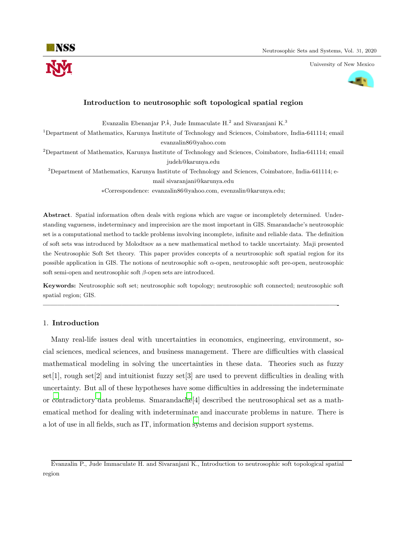University of New Mexico



# Introduction to neutrosophic soft topological spatial region

Evanzalin Ebenanjar P.<sup>‡</sup>, Jude Immaculate H.<sup>2</sup> and Sivaranjani K.<sup>3</sup>

<sup>1</sup>Department of Mathematics, Karunya Institute of Technology and Sciences, Coimbatore, India-641114; email evanzalin86@yahoo.com

<sup>2</sup>Department of Mathematics, Karunya Institute of Technology and Sciences, Coimbatore, India-641114; email judeh@karunya.edu

<sup>3</sup>Department of Mathematics, Karunya Institute of Technology and Sciences, Coimbatore, India-641114; email sivaranjani@karunya.edu

∗Correspondence: evanzalin86@yahoo.com, evenzalin@karunya.edu;

Abstract. Spatial information often deals with regions which are vague or incompletely determined. Understanding vagueness, indeterminacy and imprecision are the most important in GIS. Smarandache's neutrosophic set is a computational method to tackle problems involving incomplete, infinite and reliable data. The definition of soft sets was introduced by Molodtsov as a new mathematical method to tackle uncertainty. Maji presented the Neutrosophic Soft Set theory. This paper provides concepts of a neurtrosophic soft spatial region for its possible application in GIS. The notions of neutrosophic soft α-open, neutrosophic soft pre-open, neutrosophic soft semi-open and neutrosophic soft  $\beta$ -open sets are introduced.

Keywords: Neutrosophic soft set; neutrosophic soft topology; neutrosophic soft connected; neutrosophic soft spatial region; GIS.

—————————————————————————————————————————-

# 1. Introduction

Many real-life issues deal with uncertainties in economics, engineering, environment, social sciences, medical sciences, and business management. There are difficulties with classical mathematical modeling in solving the uncertainties in these data. Theories such as fuzzy set[1], rough set[2] and intuitionist fuzzy set[3] are used to prevent difficulties in dealing with uncertainty. But all of these hypotheses have some difficulties in addressing the indeterminate or [co](#page-6-0)ntradictory [d](#page-6-1)ata problems. Smarandac[he](#page-6-2)[4] described the neutrosophical set as a mathematical method for dealing with indeterminate and inaccurate problems in nature. There is a lot of use in all fields, such as IT, information [sy](#page-6-3)stems and decision support systems.

Evanzalin P., Jude Immaculate H. and Sivaranjani K., Introduction to neutrosophic soft topological spatial region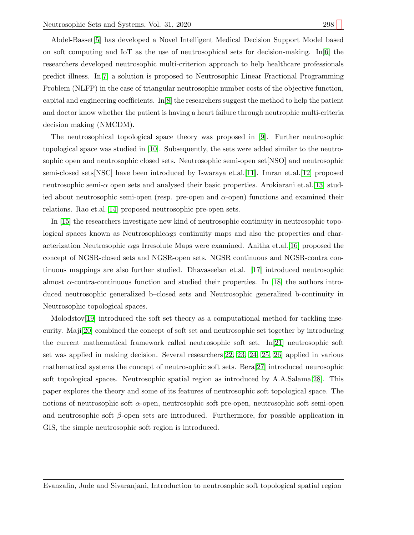Abdel-Basset[\[5\]](#page-6-4) has developed a Novel Intelligent Medical Decision Support Model based on soft computing and IoT as the use of neutrosophical sets for decision-making. In[\[6\]](#page-6-5) the researchers developed neutrosophic multi-criterion approach to help healthcare professionals predict illness. In[\[7\]](#page-6-6) a solution is proposed to Neutrosophic Linear Fractional Programming Problem (NLFP) in the case of triangular neutrosophic number costs of the objective function, capital and engineering coefficients.  $\text{In} [8]$  $\text{In} [8]$  the researchers suggest the method to help the patient and doctor know whether the patient is having a heart failure through neutrophic multi-criteria decision making (NMCDM).

The neutrosophical topological space theory was proposed in [\[9\]](#page-6-8). Further neutrosophic topological space was studied in [\[10\]](#page-6-9). Subsequently, the sets were added similar to the neutrosophic open and neutrosophic closed sets. Neutrosophic semi-open set[NSO] and neutrosophic semi-closed sets[NSC] have been introduced by Iswaraya et.al.[\[11\]](#page-6-10). Imran et.al.[\[12\]](#page-6-11) proposed neutrosophic semi- $\alpha$  open sets and analysed their basic properties. Arokiarani et.al. [\[13\]](#page-6-12) studied about neutrosophic semi-open (resp. pre-open and  $\alpha$ -open) functions and examined their relations. Rao et.al.[\[14\]](#page-6-13) proposed neutrosophic pre-open sets.

In [\[15\]](#page-6-14) the researchers investigate new kind of neutrosophic continuity in neutrosophic topological spaces known as Neutrosophicαgs continuity maps and also the properties and characterization Neutrosophic  $\alpha$ gs Irresolute Maps were examined. Anitha et.al.[\[16\]](#page-6-15) proposed the concept of NGSR-closed sets and NGSR-open sets. NGSR continuous and NGSR-contra continuous mappings are also further studied. Dhavaseelan et.al. [\[17\]](#page-6-16) introduced neutrosophic almost α-contra-continuous function and studied their properties. In [\[18\]](#page-6-17) the authors introduced neutrosophic generalized b–closed sets and Neutrosophic generalized b-continuity in Neutrosophic topological spaces.

Molodstov[\[19\]](#page-6-18) introduced the soft set theory as a computational method for tackling insecurity. Maji[\[20\]](#page-6-19) combined the concept of soft set and neutrosophic set together by introducing the current mathematical framework called neutrosophic soft set. In[\[21\]](#page-6-20) neutrosophic soft set was applied in making decision. Several researchers[\[22,](#page-7-0) [23,](#page-7-1) [24,](#page-7-2) [25,](#page-7-3) [26\]](#page-7-4) applied in various mathematical systems the concept of neutrosophic soft sets. Bera[\[27\]](#page-7-5) introduced neurosophic soft topological spaces. Neutrosophic spatial region as introduced by A.A.Salama[\[28\]](#page-7-6). This paper explores the theory and some of its features of neutrosophic soft topological space. The notions of neutrosophic soft  $\alpha$ -open, neutrosophic soft pre-open, neutrosophic soft semi-open and neutrosophic soft  $\beta$ -open sets are introduced. Furthermore, for possible application in GIS, the simple neutrosophic soft region is introduced.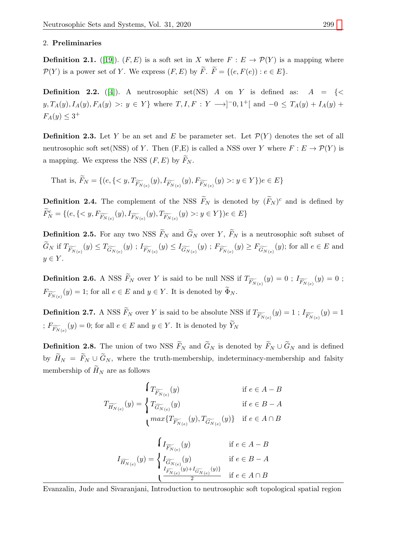# 2. Preliminaries

**Definition 2.1.** ([\[19\]](#page-6-18)).  $(F, E)$  is a soft set in X where  $F : E \to \mathcal{P}(Y)$  is a mapping where  $\mathcal{P}(Y)$  is a power set of Y. We express  $(F, E)$  by  $\widetilde{F}$ .  $\widetilde{F} = \{(e, F(e)) : e \in E\}.$ 

**Definition 2.2.** ([\[4\]](#page-6-3)). A neutrosophic set (NS) A on Y is defined as:  $A = \{\leq$  $y, T_A(y), I_A(y), F_A(y) >: y \in Y$  where  $T, I, F: Y \longrightarrow ]^-0, 1^+[$  and  $-0 \le T_A(y) + I_A(y) +$  $F_A(y) \leq 3^+$ 

**Definition 2.3.** Let Y be an set and E be parameter set. Let  $\mathcal{P}(Y)$  denotes the set of all neutrosophic soft set(NSS) of Y. Then  $(F, E)$  is called a NSS over Y where  $F : E \to \mathcal{P}(Y)$  is a mapping. We express the NSS  $(F, E)$  by  $\widetilde{F}_N$ .

That is,  $F_N = \{ (e, \{ : y \in Y \}) e \in E \}$ 

**Definition 2.4.** The complement of the NSS  $\widetilde{F}_N$  is denoted by  $(\widetilde{F}_N)^c$  and is defined by  $\widetilde{F}_{N}^{c} = \{ (e, \{ : y \in Y \}) e \in E \}$ 

**Definition 2.5.** For any two NSS  $\widetilde{F}_N$  and  $\widetilde{G}_N$  over Y,  $\widetilde{F}_N$  is a neutrosophic soft subset of  $G_N$  if  $T_{\widetilde{F}_{N(e)}}(y) \leq T_{\widetilde{G}_{N(e)}}(y)$  ;  $I_{\widetilde{F}_{N(e)}}(y) \leq I_{\widetilde{G}_{N(e)}}(y)$  ;  $F_{\widetilde{F}_{N(e)}}(y) \geq F_{\widetilde{G}_{N(e)}}(y)$ ; for all  $e \in E$  and  $y \in Y$ .

**Definition 2.6.** A NSS  $F_N$  over Y is said to be null NSS if  $T_{\widetilde{F}_{N(e)}}(y) = 0$ ;  $I_{\widetilde{F}_{N(e)}}(y) = 0$ ;  $F_{\widetilde{F_{N}(e)}}(y) = 1$ ; for all  $e \in E$  and  $y \in Y$ . It is denoted by  $\Phi_N$ .

**Definition 2.7.** A NSS  $F_N$  over Y is said to be absolute NSS if  $T_{\widetilde{F}_{N(e)}}(y) = 1$ ;  $I_{\widetilde{F}_{N(e)}}(y) = 1$ ;  $F_{\widetilde{F_{N}(e)}}(y) = 0$ ; for all  $e \in E$  and  $y \in Y$ . It is denoted by  $Y_{N}$ 

**Definition 2.8.** The union of two NSS  $\widetilde{F}_N$  and  $\widetilde{G}_N$  is denoted by  $\widetilde{F}_N \cup \widetilde{G}_N$  and is defined by  $\widetilde{H}_N = \widetilde{F}_N \cup \widetilde{G}_N$ , where the truth-membership, indeterminacy-membership and falsity membership of  $\widetilde{H}_N$  are as follows

$$
T_{\widetilde{H_{N(e)}}}(y) = \begin{cases} T_{\widetilde{F_{N(e)}}}(y) & \text{if } e \in A - B \\ T_{\widetilde{G_{N(e)}}}(y) & \text{if } e \in B - A \end{cases}
$$
  

$$
\max\{T_{\widetilde{F_{N(e)}}}(y), T_{\widetilde{G_{N(e)}}}(y)\} \text{ if } e \in A \cap B
$$
  

$$
I_{\widetilde{H_{N(e)}}}(y) = \begin{cases} I_{\widetilde{G_{N(e)}}}(y) & \text{if } e \in A - B \\ \frac{I_{\widetilde{F_{N(e)}}}(y)}{2} & \text{if } e \in B - A \end{cases}
$$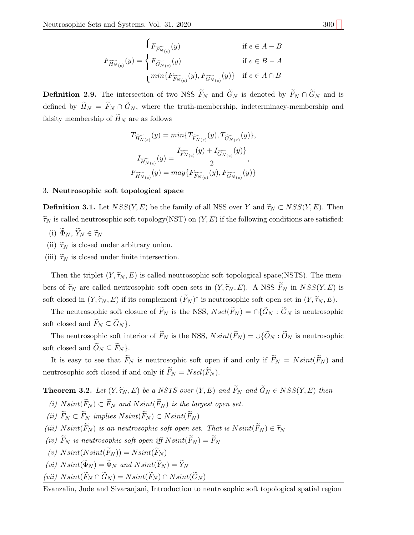$$
F_{\widetilde{H_{N(e)}}}(y) \qquad \text{if } e \in A - B
$$

$$
F_{\widetilde{H_{N(e)}}}(y) = \begin{cases} F_{\widetilde{G_{N(e)}}}(y) & \text{if } e \in B - A \\ \min\{F_{\widetilde{F_{N(e)}}}(y), F_{\widetilde{G_{N(e)}}}(y)\} & \text{if } e \in A \cap B \end{cases}
$$

**Definition 2.9.** The intersection of two NSS  $\widetilde{F}_N$  and  $\widetilde{G}_N$  is denoted by  $\widetilde{F}_N \cap \widetilde{G}_N$  and is defined by  $\widetilde{H}_N = \widetilde{F}_N \cap \widetilde{G}_N$ , where the truth-membership, indeterminacy-membership and falsity membership of  $\widetilde{H}_N$  are as follows

$$
\begin{aligned} T_{\widetilde{H_{N(e)}}}(y)&=min\{T_{\widetilde{F_{N(e)}}}(y),T_{\widetilde{G_{N(e)}}}(y)\},\\ I_{\widetilde{H_{N(e)}}}(y)&=\frac{I_{\widetilde{F_{N(e)}}}(y)+I_{\widetilde{G_{N(e)}}}(y)\}}{2},\\ F_{\widetilde{H_{N(e)}}}(y)&=may\{F_{\widetilde{F_{N(e)}}}(y),F_{\widetilde{G_{N(e)}}}(y)\} \end{aligned}
$$

### 3. Neutrosophic soft topological space

**Definition 3.1.** Let  $NSS(Y, E)$  be the family of all NSS over Y and  $\widetilde{\tau}_N \subset NSS(Y, E)$ . Then  $\widetilde{\tau}_N$  is called neutrosophic soft topology(NST) on  $(Y, E)$  if the following conditions are satisfied:

- (i)  $\widetilde{\Phi}_N$ ,  $\widetilde{Y}_N \in \widetilde{\tau}_N$
- (ii)  $\widetilde{\tau}_N$  is closed under arbitrary union.
- (iii)  $\widetilde{\tau}_N$  is closed under finite intersection.

Then the triplet  $(Y, \tilde{\tau}_N, E)$  is called neutrosophic soft topological space(NSTS). The members of  $\widetilde{\tau}_N$  are called neutrosophic soft open sets in  $(Y, \widetilde{\tau}_N, E)$ . A NSS  $\widetilde{F}_N$  in  $NSS(Y, E)$  is soft closed in  $(Y, \widetilde{\tau}_N, E)$  if its complement  $(\widetilde{F}_N)^c$  is neutrosophic soft open set in  $(Y, \widetilde{\tau}_N, E)$ .

The neutrosophic soft closure of  $\widetilde{F}_N$  is the NSS,  $N\mathit{scl}(\widetilde{F}_N) = \bigcap \{ \widetilde{G}_N : \widetilde{G}_N \text{ is neutrosophic } \}$ soft closed and  $\widetilde{F}_N \subseteq \widetilde{G}_N$ .

The neutrosophic soft interior of  $\widetilde{F}_N$  is the NSS,  $N\text{sint}(\widetilde{F}_N) = \bigcup \{ \widetilde{O}_N : \widetilde{O}_N \text{ is neutrosophic } \}$ soft closed and  $O_N \subseteq F_N$ .

It is easy to see that  $\widetilde{F}_N$  is neutrosophic soft open if and only if  $\widetilde{F}_N = N\text{sint}(\widetilde{F}_N)$  and neutrosophic soft closed if and only if  $\widetilde{F}_N = N \mathop{sol}(\widetilde{F}_N)$ .

**Theorem 3.2.** Let  $(Y, \widetilde{\tau}_N, E)$  be a NSTS over  $(Y, E)$  and  $\widetilde{F}_N$  and  $\widetilde{G}_N \in NSS(Y, E)$  then

- (i)  $N\text{sint}(\widetilde{F}_N) \subset \widetilde{F}_N$  and  $N\text{sint}(\widetilde{F}_N)$  is the largest open set.
- (ii)  $\widetilde{F}_N \subset \widetilde{F}_N$  implies  $N\text{sint}(\widetilde{F}_N) \subset N\text{sint}(\widetilde{F}_N)$
- (iii)  $N\text{sint}(\widetilde{F}_N)$  is an neutrosophic soft open set. That is  $N\text{sint}(\widetilde{F}_N) \in \widetilde{\tau}_N$
- (iv)  $\widetilde{F}_N$  is neutrosophic soft open iff  $N\text{sint}(\widetilde{F}_N) = \widetilde{F}_N$

(v) 
$$
N\text{sin}t(N\text{sin}t(\widetilde{F}_N)) = N\text{sin}t(\widetilde{F}_N)
$$

(vi)  $N\text{sin}t(\Phi_N) = \Phi_N$  and  $N\text{sin}t(Y_N) = Y_N$ 

$$
(vii) Nsint(\widetilde{F}_N \cap \widetilde{G}_N) = Nsint(\widetilde{F}_N) \cap Nsint(\widetilde{G}_N)
$$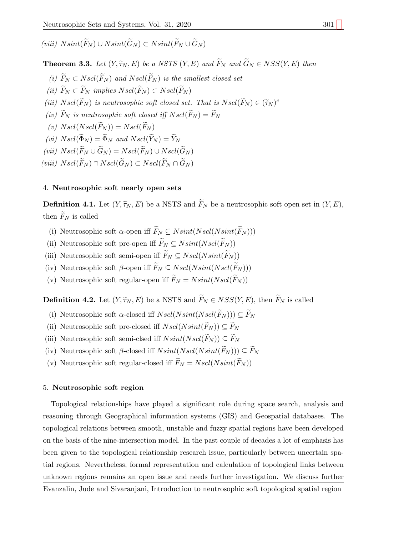(viii)  $N\text{sint}(\widetilde{F}_N) \cup N\text{sint}(\widetilde{G}_N) \subset N\text{sint}(\widetilde{F}_N \cup \widetilde{G}_N)$ 

**Theorem 3.3.** Let  $(Y, \widetilde{\tau}_N, E)$  be a NSTS  $(Y, E)$  and  $\widetilde{F}_N$  and  $\widetilde{G}_N \in NSS(Y, E)$  then

- (i)  $\widetilde{F}_N \subset N\,(\widetilde{F}_N)$  and  $N\,scl(\widetilde{F}_N)$  is the smallest closed set
- (ii)  $\widetilde{F}_N \subset \widetilde{F}_N$  implies  $Nscl(\widetilde{F}_N) \subset Nscl(\widetilde{F}_N)$
- (iii)  $N\, \text{sol}(\widetilde{F}_N)$  is neutrosophic soft closed set. That is  $N\, \text{sol}(\widetilde{F}_N) \in (\widetilde{\tau}_N)^c$
- (iv)  $\widetilde{F}_N$  is neutrosophic soft closed iff  $N\,\widetilde{F}_N = \widetilde{F}_N$
- (v)  $Nscl(Nscl(\widetilde{F}_N)) = Nscl(\widetilde{F}_N)$
- (vi)  $N\text{ }sol(\widetilde{\Phi}_N) = \widetilde{\Phi}_N$  and  $N\text{ }sol(\widetilde{Y}_N) = \widetilde{Y}_N$
- (vii)  $N\,el(\widetilde{F}_N \cup \widetilde{G}_N) = N\,el(\widetilde{F}_N) \cup N\,el(\widetilde{G}_N)$
- (viii)  $N\mathop{sol}(\widetilde{F}_N) \cap N\mathop{sol}(\widetilde{G}_N) \subset N\mathop{sol}(\widetilde{F}_N \cap \widetilde{G}_N)$

## 4. Neutrosophic soft nearly open sets

**Definition 4.1.** Let  $(Y, \tilde{\tau}_N, E)$  be a NSTS and  $\tilde{F}_N$  be a neutrosophic soft open set in  $(Y, E)$ , then  $\widetilde{F}_N$  is called

- (i) Neutrosophic soft  $\alpha$ -open iff  $\widetilde{F}_N \subseteq N\text{sint}(N\text{salt}(\widetilde{F}_N)))$
- (ii) Neutrosophic soft pre-open iff  $\widetilde{F}_N \subseteq N\text{sint}(N\text{scd}(\widetilde{F}_N))$
- (iii) Neutrosophic soft semi-open iff  $\widetilde{F}_N \subseteq Nscl(Nsint(\widetilde{F}_N))$
- (iv) Neutrosophic soft  $\beta$ -open iff  $\widetilde{F}_N \subseteq Nscl(Nsint(Nscl(\widetilde{F}_N)))$
- (v) Neutrosophic soft regular-open iff  $\widetilde{F}_N = N\text{sint}(N\text{ }scl(\widetilde{F}_N))$

**Definition 4.2.** Let  $(Y, \widetilde{\tau}_N, E)$  be a NSTS and  $\widetilde{F}_N \in NSS(Y, E)$ , then  $\widetilde{F}_N$  is called

- (i) Neutrosophic soft  $\alpha$ -closed iff  $N\,sl(N\,sint(N\,sol(\widetilde{F}_N)))\subseteq \widetilde{F}_N$
- (ii) Neutrosophic soft pre-closed iff  $N\mathop{sol}(N\mathop{sint}(\widetilde{F}_N)) \subseteq \widetilde{F}_N$
- (iii) Neutrosophic soft semi-clsed iff  $N\text{sin}t(N\text{sc}l(\widetilde{F}_N)) \subseteq \widetilde{F}_N$
- (iv) Neutrosophic soft  $\beta$ -closed iff  $N\text{sint}(N\text{sd}(N\text{sint}(\widetilde{F}_N))) \subseteq \widetilde{F}_N$
- (v) Neutrosophic soft regular-closed iff  $\widetilde{F}_N = N \, \text{sol}(N \, \text{sint}(\widetilde{F}_N))$

#### 5. Neutrosophic soft region

Topological relationships have played a significant role during space search, analysis and reasoning through Geographical information systems (GIS) and Geospatial databases. The topological relations between smooth, unstable and fuzzy spatial regions have been developed on the basis of the nine-intersection model. In the past couple of decades a lot of emphasis has been given to the topological relationship research issue, particularly between uncertain spatial regions. Nevertheless, formal representation and calculation of topological links between unknown regions remains an open issue and needs further investigation. We discuss further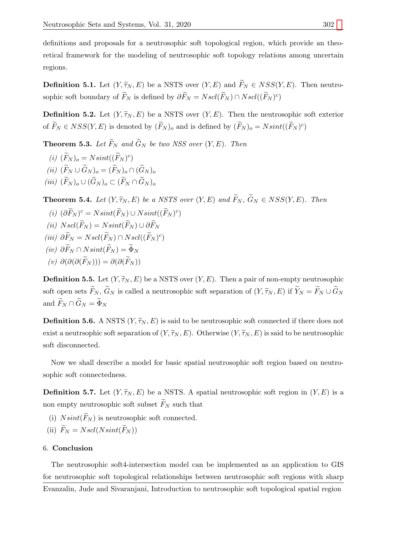definitions and proposals for a neutrosophic soft topological region, which provide an theoretical framework for the modeling of neutrosophic soft topology relations among uncertain regions.

**Definition 5.1.** Let  $(Y, \widetilde{\tau}_N, E)$  be a NSTS over  $(Y, E)$  and  $\widetilde{F}_N \in NSS(Y, E)$ . Then neutrosophic soft boundary of  $\widetilde{F}_N$  is defined by  $\partial \widetilde{F}_N = N \operatorname{scl}(\widetilde{F}_N) \cap N \operatorname{scl}((\widetilde{F}_N)^c)$ 

**Definition 5.2.** Let  $(Y, \widetilde{\tau}_N, E)$  be a NSTS over  $(Y, E)$ . Then the neutrosophic soft exterior of  $\widetilde{F}_N \in NSS(Y, E)$  is denoted by  $(\widetilde{F}_N)_o$  and is defined by  $(\widetilde{F}_N)_o = N\text{sint}((\widetilde{F}_N)^c)$ 

**Theorem 5.3.** Let  $\widetilde{F}_N$  and  $\widetilde{G}_N$  be two NSS over  $(Y, E)$ . Then

- (i)  $(\widetilde{F}_N)_o = N\text{sint}((\widetilde{F}_N)^c)$
- (ii)  $(\widetilde{F}_N \cup \widetilde{G}_N)_o = (\widetilde{F}_N)_o \cap (\widetilde{G}_N)_o$
- (iii)  $(\widetilde{F}_N)_o \cup (\widetilde{G}_N)_o \subset (\widetilde{F}_N \cap \widetilde{G}_N)_o$

**Theorem 5.4.** Let  $(Y, \widetilde{\tau}_N, E)$  be a NSTS over  $(Y, E)$  and  $\widetilde{F}_N$ ,  $\widetilde{G}_N \in NSS(Y, E)$ . Then

- (i)  $(\partial \widetilde{F}_N)^c = N\text{sint}(\widetilde{F}_N) \cup N\text{sint}((\widetilde{F}_N)^c)$
- (ii)  $Nscl(\widetilde{F}_N) = Nsint(\widetilde{F}_N) \cup \partial \widetilde{F}_N$
- (iii)  $\partial \widetilde{F}_N = Nscl(\widetilde{F}_N) \cap Nscl((\widetilde{F}_N)^c)$
- (iv)  $\partial \widetilde{F}_N \cap N\text{sint}(\widetilde{F}_N) = \widetilde{\Phi}_N$
- (v)  $\partial(\partial(\partial(\widetilde{F}_N))) = \partial(\partial(\widetilde{F}_N))$

**Definition 5.5.** Let  $(Y, \widetilde{\tau}_N, E)$  be a NSTS over  $(Y, E)$ . Then a pair of non-empty neutrosophic soft open sets  $\widetilde{F}_N$ ,  $\widetilde{G}_N$  is called a neutrosophic soft separation of  $(Y, \widetilde{\tau}_N, E)$  if  $\widetilde{Y}_N = \widetilde{F}_N \cup \widetilde{G}_N$ and  $\widetilde{F}_N \cap \widetilde{G}_N = \widetilde{\Phi}_N$ 

**Definition 5.6.** A NSTS  $(Y, \widetilde{\tau}_N, E)$  is said to be neutrosophic soft connected if there does not exist a neutrosophic soft separation of  $(Y, \tilde{\tau}_N, E)$ . Otherwise  $(Y, \tilde{\tau}_N, E)$  is said to be neutrosophic soft disconnected.

Now we shall describe a model for basic spatial neutrosophic soft region based on neutrosophic soft connectedness.

**Definition 5.7.** Let  $(Y, \widetilde{\tau}_N, E)$  be a NSTS. A spatial neutrosophic soft region in  $(Y, E)$  is a non empty neutrosophic soft subset  $\widetilde{F}_N$  such that

- (i)  $N\text{sin}t(\widetilde{F}_N)$  is neutrosophic soft connected.
- (ii)  $\widetilde{F}_N = Nscl(Nsint(\widetilde{F}_N))$

### 6. Conclusion

The neutrosophic soft4-intersection model can be implemented as an application to GIS for neutrosophic soft topological relationships between neutrosophic soft regions with sharp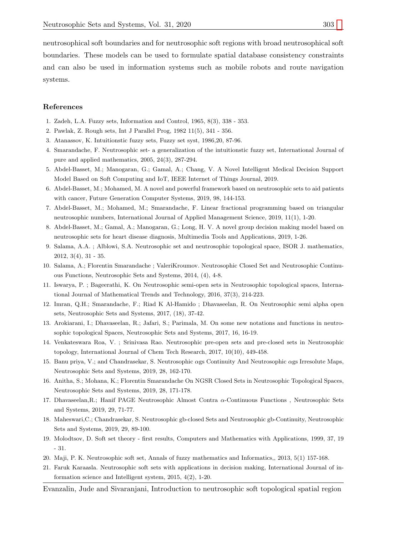neutrosophical soft boundaries and for neutrosophic soft regions with broad neutrosophical soft boundaries. These models can be used to formulate spatial database consistency constraints and can also be used in information systems such as mobile robots and route navigation systems.

### References

- <span id="page-6-0"></span>1. Zadeh, L.A. Fuzzy sets, Information and Control, 1965, 8(3), 338 - 353.
- <span id="page-6-1"></span>2. Pawlak, Z. Rough sets, Int J Parallel Prog, 1982 11(5), 341 - 356.
- <span id="page-6-2"></span>3. Atanassov, K. Intuitionstic fuzzy sets, Fuzzy set syst, 1986,20, 87-96.
- <span id="page-6-3"></span>4. Smarandache, F. Neutrosophic set- a generalization of the intuitionstic fuzzy set, International Journal of pure and applied mathematics, 2005, 24(3), 287-294.
- <span id="page-6-4"></span>5. Abdel-Basset, M.; Manogaran, G.; Gamal, A.; Chang, V. A Novel Intelligent Medical Decision Support Model Based on Soft Computing and IoT, IEEE Internet of Things Journal, 2019.
- <span id="page-6-5"></span>6. Abdel-Basset, M.; Mohamed, M. A novel and powerful framework based on neutrosophic sets to aid patients with cancer, Future Generation Computer Systems, 2019, 98, 144-153.
- <span id="page-6-6"></span>7. Abdel-Basset, M.; Mohamed, M.; Smarandache, F. Linear fractional programming based on triangular neutrosophic numbers, International Journal of Applied Management Science, 2019, 11(1), 1-20.
- <span id="page-6-7"></span>8. Abdel-Basset, M.; Gamal, A.; Manogaran, G.; Long, H. V. A novel group decision making model based on neutrosophic sets for heart disease diagnosis, Multimedia Tools and Applications, 2019, 1-26.
- <span id="page-6-8"></span>9. Salama, A.A. ; Alblowi, S.A. Neutrosophic set and neutrosophic topological space, ISOR J. mathematics, 2012, 3(4), 31 - 35.
- <span id="page-6-9"></span>10. Salama, A.; Florentin Smarandache ; ValeriKroumov. Neutrosophic Closed Set and Neutrosophic Continuous Functions, Neutrosophic Sets and Systems, 2014, (4), 4-8.
- <span id="page-6-10"></span>11. Iswarya, P. ; Bageerathi, K. On Neutrosophic semi-open sets in Neutrosophic topological spaces, International Journal of Mathematical Trends and Technology, 2016, 37(3), 214-223.
- <span id="page-6-11"></span>12. Imran, Q.H.; Smarandache, F.; Riad K Al-Hamido ; Dhavaseelan, R. On Neutrosophic semi alpha open sets, Neutrosophic Sets and Systems, 2017, (18), 37-42.
- <span id="page-6-12"></span>13. Arokiarani, I.; Dhavaseelan, R.; Jafari, S.; Parimala, M. On some new notations and functions in neutrosophic topological Spaces, Neutrosophic Sets and Systems, 2017, 16, 16-19.
- <span id="page-6-13"></span>14. Venkateswara Roa, V. ; Srinivasa Rao. Neutrosophic pre-open sets and pre-closed sets in Neutrosophic topology, International Journal of Chem Tech Research, 2017, 10(10), 449-458.
- <span id="page-6-14"></span>15. Banu priya, V.; and Chandrasekar, S. Neutrosophic αgs Continuity And Neutrosophic αgs Irresolute Maps, Neutrosophic Sets and Systems, 2019, 28, 162-170.
- <span id="page-6-15"></span>16. Anitha, S.; Mohana, K.; Florentin Smarandache On NGSR Closed Sets in Neutrosophic Topological Spaces, Neutrosophic Sets and Systems, 2019, 28, 171-178.
- <span id="page-6-16"></span>17. Dhavaseelan,R.; Hanif PAGE Neutrosophic Almost Contra α-Continuous Functions , Neutrosophic Sets and Systems, 2019, 29, 71-77.
- <span id="page-6-17"></span>18. Maheswari,C.; Chandrasekar, S. Neutrosophic gb-closed Sets and Neutrosophic gb-Continuity, Neutrosophic Sets and Systems, 2019, 29, 89-100.
- <span id="page-6-18"></span>19. Molodtsov, D. Soft set theory - first results, Computers and Mathematics with Applications, 1999, 37, 19 - 31.
- <span id="page-6-19"></span>20. Maji, P. K. Neutrosophic soft set, Annals of fuzzy mathematics and Informatics,, 2013, 5(1) 157-168.
- <span id="page-6-20"></span>21. Faruk Karaasla. Neutrosophic soft sets with applications in decision making, International Journal of information science and Intelligent system, 2015, 4(2), 1-20.